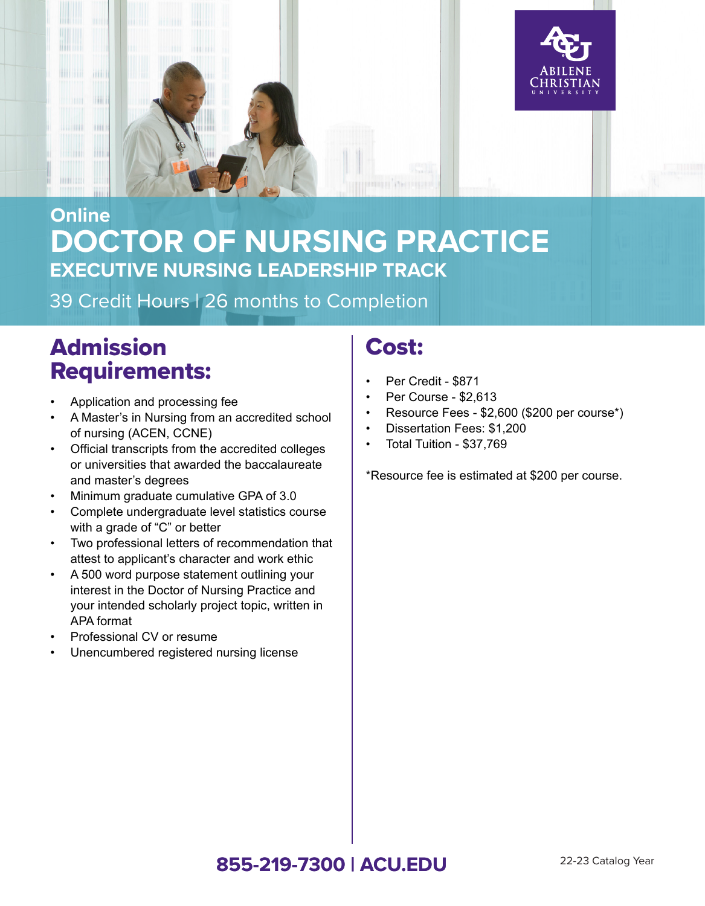

## **DOCTOR OF NURSING PRACTICE Online EXECUTIVE NURSING LEADERSHIP TRACK**

39 Credit Hours | 26 months to Completion

# Admission Requirements:

- Application and processing fee
- A Master's in Nursing from an accredited school of nursing (ACEN, CCNE)
- Official transcripts from the accredited colleges or universities that awarded the baccalaureate and master's degrees
- Minimum graduate cumulative GPA of 3.0
- Complete undergraduate level statistics course with a grade of "C" or better
- Two professional letters of recommendation that attest to applicant's character and work ethic
- A 500 word purpose statement outlining your interest in the Doctor of Nursing Practice and your intended scholarly project topic, written in APA format
- Professional CV or resume
- Unencumbered registered nursing license

### Cost:

- Per Credit \$871
- Per Course \$2,613
- Resource Fees \$2,600 (\$200 per course\*)
- Dissertation Fees: \$1,200
- Total Tuition \$37,769

\*Resource fee is estimated at \$200 per course.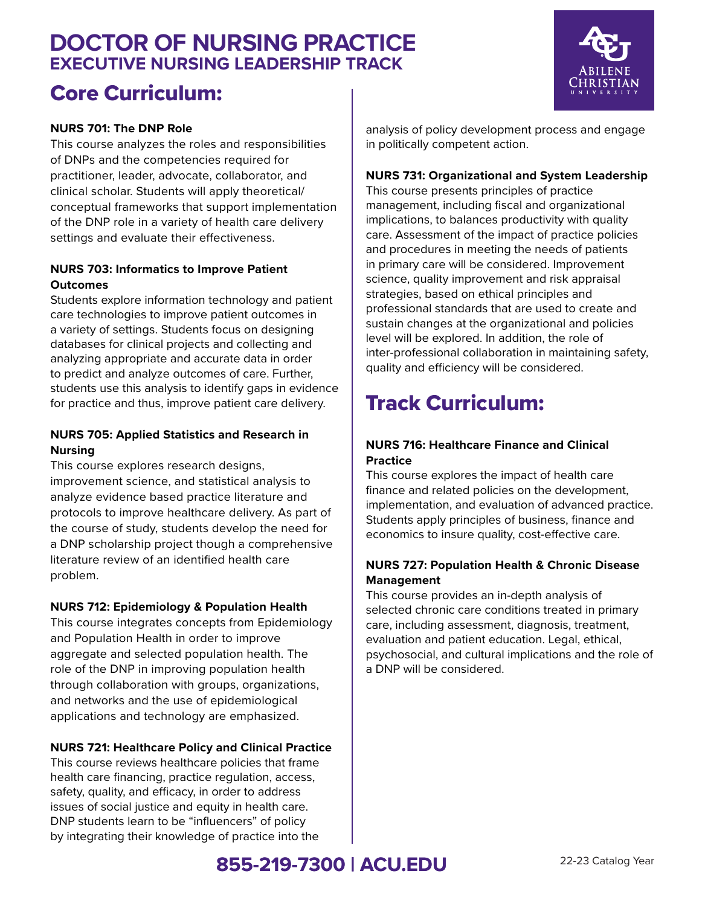### **DOCTOR OF NURSING PRACTICE EXECUTIVE NURSING LEADERSHIP TRACK**

## Core Curriculum:

#### **NURS 701: The DNP Role**

This course analyzes the roles and responsibilities of DNPs and the competencies required for practitioner, leader, advocate, collaborator, and clinical scholar. Students will apply theoretical/ conceptual frameworks that support implementation of the DNP role in a variety of health care delivery settings and evaluate their effectiveness.

#### **NURS 703: Informatics to Improve Patient Outcomes**

Students explore information technology and patient care technologies to improve patient outcomes in a variety of settings. Students focus on designing databases for clinical projects and collecting and analyzing appropriate and accurate data in order to predict and analyze outcomes of care. Further, students use this analysis to identify gaps in evidence for practice and thus, improve patient care delivery.

#### **NURS 705: Applied Statistics and Research in Nursing**

This course explores research designs, improvement science, and statistical analysis to analyze evidence based practice literature and protocols to improve healthcare delivery. As part of the course of study, students develop the need for a DNP scholarship project though a comprehensive literature review of an identified health care problem.

#### **NURS 712: Epidemiology & Population Health**

This course integrates concepts from Epidemiology and Population Health in order to improve aggregate and selected population health. The role of the DNP in improving population health through collaboration with groups, organizations, and networks and the use of epidemiological applications and technology are emphasized.

#### **NURS 721: Healthcare Policy and Clinical Practice**

This course reviews healthcare policies that frame health care financing, practice regulation, access, safety, quality, and efficacy, in order to address issues of social justice and equity in health care. DNP students learn to be "influencers" of policy by integrating their knowledge of practice into the



analysis of policy development process and engage in politically competent action.

#### **NURS 731: Organizational and System Leadership**

This course presents principles of practice management, including fiscal and organizational implications, to balances productivity with quality care. Assessment of the impact of practice policies and procedures in meeting the needs of patients in primary care will be considered. Improvement science, quality improvement and risk appraisal strategies, based on ethical principles and professional standards that are used to create and sustain changes at the organizational and policies level will be explored. In addition, the role of inter-professional collaboration in maintaining safety, quality and efficiency will be considered.

## Track Curriculum:

#### **NURS 716: Healthcare Finance and Clinical Practice**

This course explores the impact of health care finance and related policies on the development, implementation, and evaluation of advanced practice. Students apply principles of business, finance and economics to insure quality, cost-effective care.

#### **NURS 727: Population Health & Chronic Disease Management**

This course provides an in-depth analysis of selected chronic care conditions treated in primary care, including assessment, diagnosis, treatment, evaluation and patient education. Legal, ethical, psychosocial, and cultural implications and the role of a DNP will be considered.

### **855-219-7300 | ACU.EDU** 22-23 Catalog Year